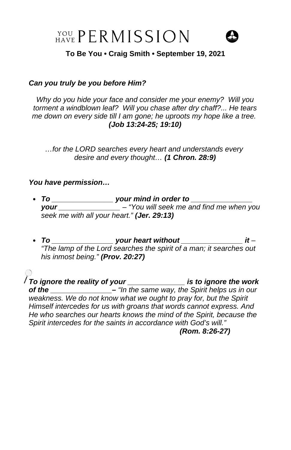$\frac{Y\text{OU}}{\text{HAVE}}$  PERMISSION



**To Be You • Craig Smith • September 19, 2021**

## *Can you truly be you before Him?*

*Why do you hide your face and consider me your enemy? Will you torment a windblown leaf? Will you chase after dry chaff?... He tears me down on every side till I am gone; he uproots my hope like a tree. (Job 13:24-25; 19:10)*

*…for the LORD searches every heart and understands every desire and every thought… (1 Chron. 28:9)*

## *You have permission…*

- *To \_\_\_\_\_\_\_\_\_\_\_\_\_\_\_ your mind in order to \_\_\_\_\_\_\_\_\_\_\_\_\_\_\_ your \_\_\_\_\_\_\_\_\_\_\_\_\_\_\_ – "You will seek me and find me when you seek me with all your heart." (Jer. 29:13)*
- *To \_\_\_\_\_\_\_\_\_\_\_\_\_\_\_ your heart without \_\_\_\_\_\_\_\_\_\_\_\_\_\_\_ it – "The lamp of the Lord searches the spirit of a man; it searches out his inmost being." (Prov. 20:27)*

*To ignore the reality of your \_\_\_\_\_\_\_\_\_\_\_\_\_\_ is to ignore the work of the \_\_\_\_\_\_\_\_\_\_\_\_\_\_\_– "In the same way, the Spirit helps us in our weakness. We do not know what we ought to pray for, but the Spirit Himself intercedes for us with groans that words cannot express. And He who searches our hearts knows the mind of the Spirit, because the Spirit intercedes for the saints in accordance with God's will." (Rom. 8:26-27)*